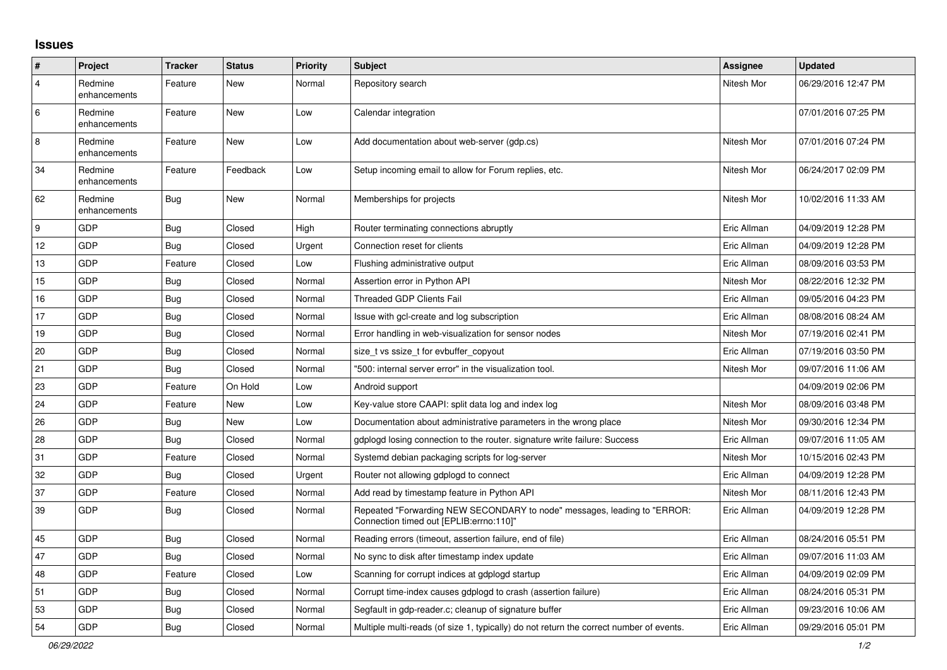## **Issues**

| #              | Project                 | <b>Tracker</b> | <b>Status</b> | <b>Priority</b> | <b>Subject</b>                                                                                                      | Assignee    | <b>Updated</b>      |
|----------------|-------------------------|----------------|---------------|-----------------|---------------------------------------------------------------------------------------------------------------------|-------------|---------------------|
| $\overline{4}$ | Redmine<br>enhancements | Feature        | New           | Normal          | Repository search                                                                                                   | Nitesh Mor  | 06/29/2016 12:47 PM |
| 6              | Redmine<br>enhancements | Feature        | New           | Low             | Calendar integration                                                                                                |             | 07/01/2016 07:25 PM |
| 8              | Redmine<br>enhancements | Feature        | <b>New</b>    | Low             | Add documentation about web-server (gdp.cs)                                                                         | Nitesh Mor  | 07/01/2016 07:24 PM |
| 34             | Redmine<br>enhancements | Feature        | Feedback      | Low             | Setup incoming email to allow for Forum replies, etc.                                                               | Nitesh Mor  | 06/24/2017 02:09 PM |
| 62             | Redmine<br>enhancements | <b>Bug</b>     | <b>New</b>    | Normal          | Memberships for projects                                                                                            | Nitesh Mor  | 10/02/2016 11:33 AM |
| 9              | GDP                     | <b>Bug</b>     | Closed        | High            | Router terminating connections abruptly                                                                             | Eric Allman | 04/09/2019 12:28 PM |
| 12             | GDP                     | <b>Bug</b>     | Closed        | Urgent          | Connection reset for clients                                                                                        | Eric Allman | 04/09/2019 12:28 PM |
| 13             | GDP                     | Feature        | Closed        | Low             | Flushing administrative output                                                                                      | Eric Allman | 08/09/2016 03:53 PM |
| 15             | GDP                     | Bug            | Closed        | Normal          | Assertion error in Python API                                                                                       | Nitesh Mor  | 08/22/2016 12:32 PM |
| 16             | <b>GDP</b>              | <b>Bug</b>     | Closed        | Normal          | Threaded GDP Clients Fail                                                                                           | Eric Allman | 09/05/2016 04:23 PM |
| 17             | GDP                     | <b>Bug</b>     | Closed        | Normal          | Issue with gcl-create and log subscription                                                                          | Eric Allman | 08/08/2016 08:24 AM |
| 19             | GDP                     | Bug            | Closed        | Normal          | Error handling in web-visualization for sensor nodes                                                                | Nitesh Mor  | 07/19/2016 02:41 PM |
| 20             | GDP                     | <b>Bug</b>     | Closed        | Normal          | size t vs ssize t for evbuffer copyout                                                                              | Eric Allman | 07/19/2016 03:50 PM |
| 21             | <b>GDP</b>              | <b>Bug</b>     | Closed        | Normal          | "500: internal server error" in the visualization tool.                                                             | Nitesh Mor  | 09/07/2016 11:06 AM |
| 23             | GDP                     | Feature        | On Hold       | Low             | Android support                                                                                                     |             | 04/09/2019 02:06 PM |
| 24             | GDP                     | Feature        | New           | Low             | Key-value store CAAPI: split data log and index log                                                                 | Nitesh Mor  | 08/09/2016 03:48 PM |
| 26             | <b>GDP</b>              | Bug            | <b>New</b>    | Low             | Documentation about administrative parameters in the wrong place                                                    | Nitesh Mor  | 09/30/2016 12:34 PM |
| 28             | <b>GDP</b>              | Bug            | Closed        | Normal          | gdplogd losing connection to the router. signature write failure: Success                                           | Eric Allman | 09/07/2016 11:05 AM |
| 31             | GDP                     | Feature        | Closed        | Normal          | Systemd debian packaging scripts for log-server                                                                     | Nitesh Mor  | 10/15/2016 02:43 PM |
| 32             | GDP                     | Bug            | Closed        | Urgent          | Router not allowing gdplogd to connect                                                                              | Eric Allman | 04/09/2019 12:28 PM |
| 37             | <b>GDP</b>              | Feature        | Closed        | Normal          | Add read by timestamp feature in Python API                                                                         | Nitesh Mor  | 08/11/2016 12:43 PM |
| 39             | GDP                     | Bug            | Closed        | Normal          | Repeated "Forwarding NEW SECONDARY to node" messages, leading to "ERROR:<br>Connection timed out [EPLIB:errno:110]" | Eric Allman | 04/09/2019 12:28 PM |
| 45             | GDP                     | Bug            | Closed        | Normal          | Reading errors (timeout, assertion failure, end of file)                                                            | Eric Allman | 08/24/2016 05:51 PM |
| 47             | GDP                     | Bug            | Closed        | Normal          | No sync to disk after timestamp index update                                                                        | Eric Allman | 09/07/2016 11:03 AM |
| 48             | GDP                     | Feature        | Closed        | Low             | Scanning for corrupt indices at gdplogd startup                                                                     | Eric Allman | 04/09/2019 02:09 PM |
| 51             | GDP                     | <b>Bug</b>     | Closed        | Normal          | Corrupt time-index causes gdplogd to crash (assertion failure)                                                      | Eric Allman | 08/24/2016 05:31 PM |
| 53             | GDP                     | Bug            | Closed        | Normal          | Segfault in gdp-reader.c; cleanup of signature buffer                                                               | Eric Allman | 09/23/2016 10:06 AM |
| 54             | GDP                     | Bug            | Closed        | Normal          | Multiple multi-reads (of size 1, typically) do not return the correct number of events.                             | Eric Allman | 09/29/2016 05:01 PM |